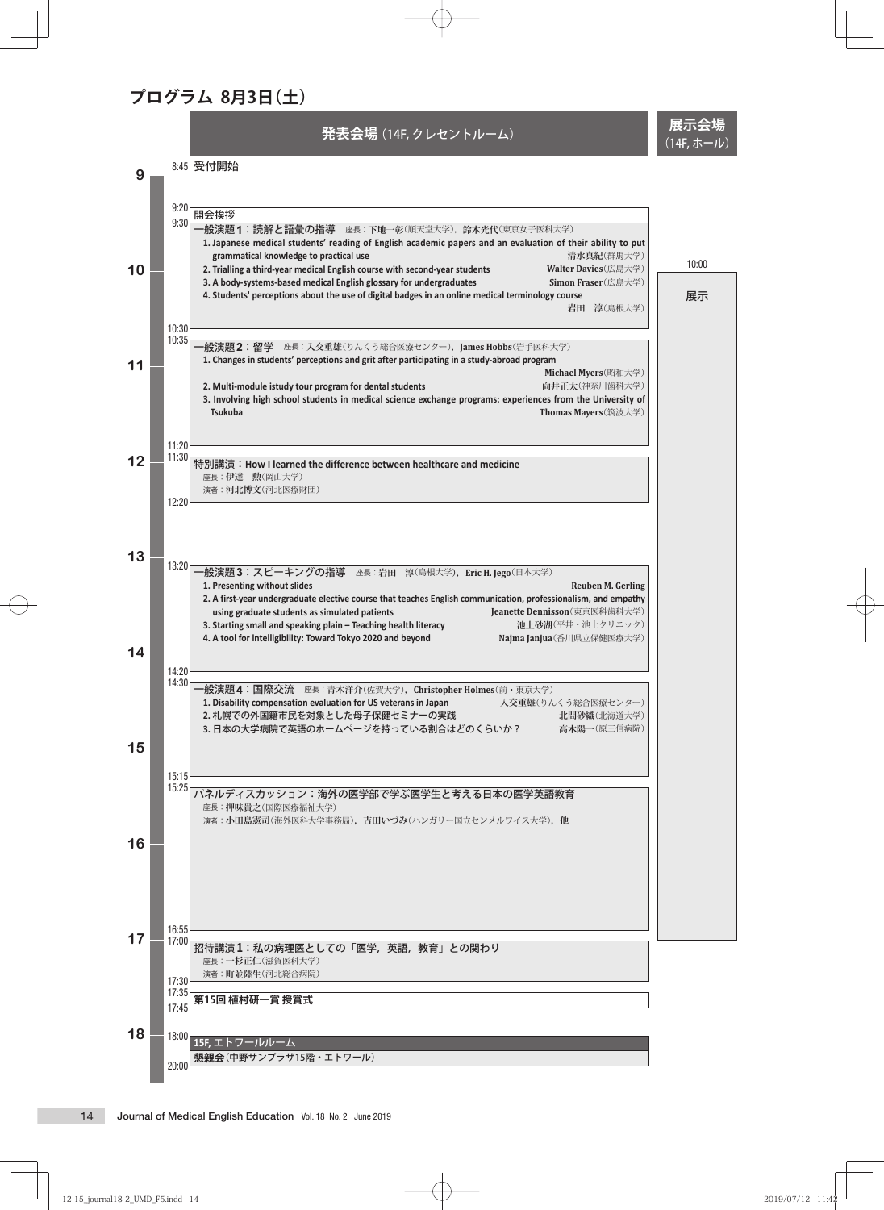## **プログラム 8月3日(土)**

8:45 受付開始

**発表会場**(14F, クレセントルーム) **展示会場**

(14F, ホール)

**9 10 11 12 13 14 15 16 17 18** 9:20<br>9:30 <del>| 開会挨拶<br>9:30 | 一般演題1:読解と語彙の指導 座長: 下地一彰(順天堂大学),鈴木光代(東京女子医科大学)</del> **1. Japanese medical students' reading of English academic papers and an evaluation of their ability to put grammatical knowledge to practical use 清水真紀**(群馬大学) **2. Trialling a third-year medical English course with second-year students Walter Davies**(広島大学) 3. A body-systems-based medical English glossary for undergraduates **4. Students' perceptions about the use of digital badges in an online medical terminology course 岩田 淳**(島根大学) 10:30 10:35 一般演題**2**:留学 座長:**入交重雄**(りんくう総合医療センター),**James Hobbs**(岩手医科大学) **1. Changes in students' perceptions and grit after participating in a study-abroad program Michael Myers**(昭和大学)<br>向井正太(神奈川歯科大学) 2. Multi-module istudy tour program for dental students **3. Involving high school students in medical science exchange programs: experiences from the University of Tsukuba Thomas Mayers**(筑波大学) 11:20 11:30 特別講演:**How I learned the difference between healthcare and medicine** 座長:**伊達 勲**(岡山大学) 演者:**河北博文**(河北医療財団) 12:20 13:20 一般演題**3**:スピーキングの指導 座長:**岩田 淳**(島根大学**),Eric H. Jego**(日本大学) **1. Presenting without slides Reuben M. Gerling 2. A first-year undergraduate elective course that teaches English communication, professionalism, and empathy**  using graduate students as simulated patients<br>
Starting small and speaking plain – Teaching health literacy **<b>Deanette Dennisson**(東京医科歯科大学) **Starting small and speaking plain – Teaching health literacy 3. Starting small and speaking plain – Teaching health literacy 4. A tool for intelligibility: Toward Tokyo 2020 and beyond Najma Janjua**(香川県立保健医療大学) 14:20 <del>- 般演題4:国際交流</del> 座長: 青木洋介(佐賀大学), Christopher Holmes(前・東京大学)<br>1. Disability compensation evaluation for US veterans in Japan 入交重雄(りんくう総合医療センター) 1. Disability compensation evaluation for US veterans in Japan 2. 札幌での外国籍市民を対象とした母子保健セミナーの実践<br>3. 日本の大学病院で英語のホームページを持っている割合はどのくらいか? およいのか<br>2. 日本の大学病院で英語のホームページを持っている割合はどのくらいか? お木陽一(原三信病院) 3. 日本の大学病院で英語のホームページを持っている割合はどのくらいか? 15:15 15:25 パネルディスカッション:海外の医学部で学ぶ医学生と考える日本の医学英語教育 座長:**押味貴之**(国際医療福祉大学) 演者:**小田島憲司**(海外医科大学事務局)**,吉田いづみ**(ハンガリー国立センメルワイス大学)**,他** 16:55 17:00 招待講演**1**:私の病理医としての「医学,英語,教育」との関わり 座長:**一杉正仁**(滋賀医科大学) 演者:**町並陸生**(河北総合病院) 17:30 17:35 **第15回 植村研一賞 授賞式** 17:45 18:00 **15F,** エトワールルーム  $\frac{1}{20:00}$  **懇親会**(中野サンプラザ15階・エトワール) 展示 10:00